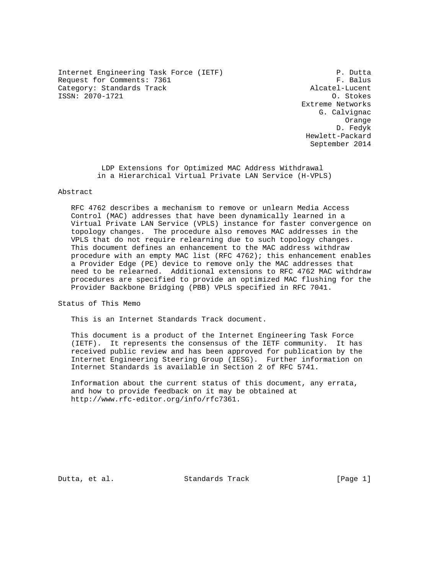Internet Engineering Task Force (IETF) P. Dutta<br>Request for Comments: 7361 Request for Comments: 7361 F. Balus<br>Category: Standards Track F. Request Alcatel-Lucent Category: Standards Track ISSN: 2070-1721 O. Stokes

 Extreme Networks G. Calvignac Orange D. Fedyk Hewlett-Packard September 2014

> LDP Extensions for Optimized MAC Address Withdrawal in a Hierarchical Virtual Private LAN Service (H-VPLS)

## Abstract

 RFC 4762 describes a mechanism to remove or unlearn Media Access Control (MAC) addresses that have been dynamically learned in a Virtual Private LAN Service (VPLS) instance for faster convergence on topology changes. The procedure also removes MAC addresses in the VPLS that do not require relearning due to such topology changes. This document defines an enhancement to the MAC address withdraw procedure with an empty MAC list (RFC 4762); this enhancement enables a Provider Edge (PE) device to remove only the MAC addresses that need to be relearned. Additional extensions to RFC 4762 MAC withdraw procedures are specified to provide an optimized MAC flushing for the Provider Backbone Bridging (PBB) VPLS specified in RFC 7041.

Status of This Memo

This is an Internet Standards Track document.

 This document is a product of the Internet Engineering Task Force (IETF). It represents the consensus of the IETF community. It has received public review and has been approved for publication by the Internet Engineering Steering Group (IESG). Further information on Internet Standards is available in Section 2 of RFC 5741.

 Information about the current status of this document, any errata, and how to provide feedback on it may be obtained at http://www.rfc-editor.org/info/rfc7361.

Dutta, et al. Standards Track [Page 1]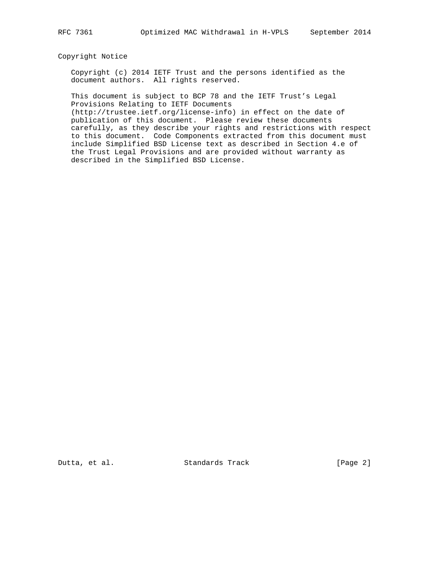## Copyright Notice

 Copyright (c) 2014 IETF Trust and the persons identified as the document authors. All rights reserved.

 This document is subject to BCP 78 and the IETF Trust's Legal Provisions Relating to IETF Documents

 (http://trustee.ietf.org/license-info) in effect on the date of publication of this document. Please review these documents carefully, as they describe your rights and restrictions with respect to this document. Code Components extracted from this document must include Simplified BSD License text as described in Section 4.e of the Trust Legal Provisions and are provided without warranty as described in the Simplified BSD License.

Dutta, et al. Standards Track [Page 2]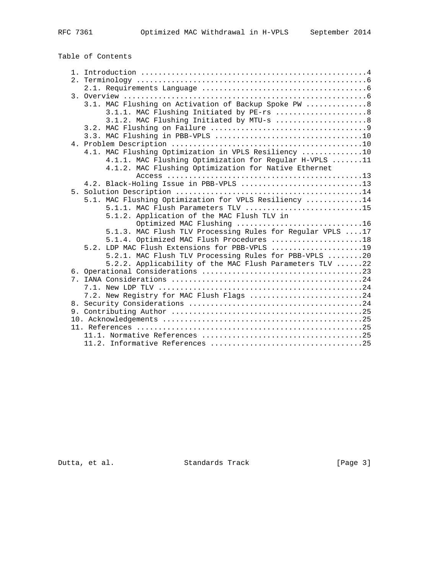# Table of Contents

|  | 3.1. MAC Flushing on Activation of Backup Spoke PW  8                                                 |
|--|-------------------------------------------------------------------------------------------------------|
|  | 3.1.1. MAC Flushing Initiated by PE-rs  8                                                             |
|  | 3.1.2. MAC Flushing Initiated by MTU-s  8                                                             |
|  |                                                                                                       |
|  |                                                                                                       |
|  |                                                                                                       |
|  | 4.1. MAC Flushing Optimization in VPLS Resiliency 10                                                  |
|  | 4.1.1. MAC Flushing Optimization for Regular H-VPLS 11                                                |
|  | 4.1.2. MAC Flushing Optimization for Native Ethernet                                                  |
|  |                                                                                                       |
|  | 4.2. Black-Holing Issue in PBB-VPLS 13                                                                |
|  |                                                                                                       |
|  | 5.1. MAC Flushing Optimization for VPLS Resiliency 14                                                 |
|  | 5.1.1. MAC Flush Parameters TLV 15                                                                    |
|  | 5.1.2. Application of the MAC Flush TLV in                                                            |
|  | Optimized MAC Flushing 16                                                                             |
|  | 5.1.3. MAC Flush TLV Processing Rules for Regular VPLS 17<br>5.1.4. Optimized MAC Flush Procedures 18 |
|  | 5.2. LDP MAC Flush Extensions for PBB-VPLS 19                                                         |
|  | 5.2.1. MAC Flush TLV Processing Rules for PBB-VPLS 20                                                 |
|  | 5.2.2. Applicability of the MAC Flush Parameters TLV 22                                               |
|  |                                                                                                       |
|  |                                                                                                       |
|  |                                                                                                       |
|  | 7.2. New Registry for MAC Flush Flags 24                                                              |
|  |                                                                                                       |
|  |                                                                                                       |
|  |                                                                                                       |
|  |                                                                                                       |
|  |                                                                                                       |
|  |                                                                                                       |

Dutta, et al. Standards Track [Page 3]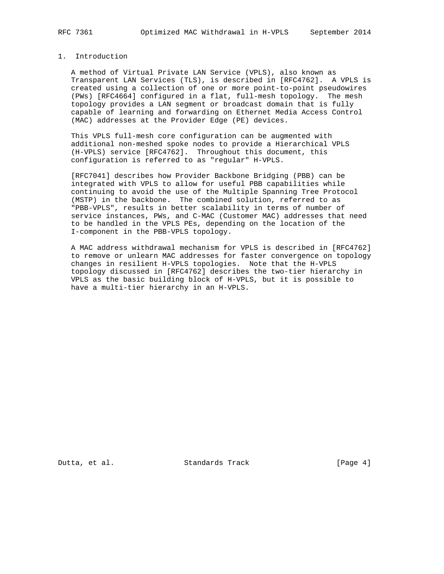## 1. Introduction

 A method of Virtual Private LAN Service (VPLS), also known as Transparent LAN Services (TLS), is described in [RFC4762]. A VPLS is created using a collection of one or more point-to-point pseudowires (PWs) [RFC4664] configured in a flat, full-mesh topology. The mesh topology provides a LAN segment or broadcast domain that is fully capable of learning and forwarding on Ethernet Media Access Control (MAC) addresses at the Provider Edge (PE) devices.

 This VPLS full-mesh core configuration can be augmented with additional non-meshed spoke nodes to provide a Hierarchical VPLS (H-VPLS) service [RFC4762]. Throughout this document, this configuration is referred to as "regular" H-VPLS.

 [RFC7041] describes how Provider Backbone Bridging (PBB) can be integrated with VPLS to allow for useful PBB capabilities while continuing to avoid the use of the Multiple Spanning Tree Protocol (MSTP) in the backbone. The combined solution, referred to as "PBB-VPLS", results in better scalability in terms of number of service instances, PWs, and C-MAC (Customer MAC) addresses that need to be handled in the VPLS PEs, depending on the location of the I-component in the PBB-VPLS topology.

 A MAC address withdrawal mechanism for VPLS is described in [RFC4762] to remove or unlearn MAC addresses for faster convergence on topology changes in resilient H-VPLS topologies. Note that the H-VPLS topology discussed in [RFC4762] describes the two-tier hierarchy in VPLS as the basic building block of H-VPLS, but it is possible to have a multi-tier hierarchy in an H-VPLS.

Dutta, et al. Standards Track [Page 4]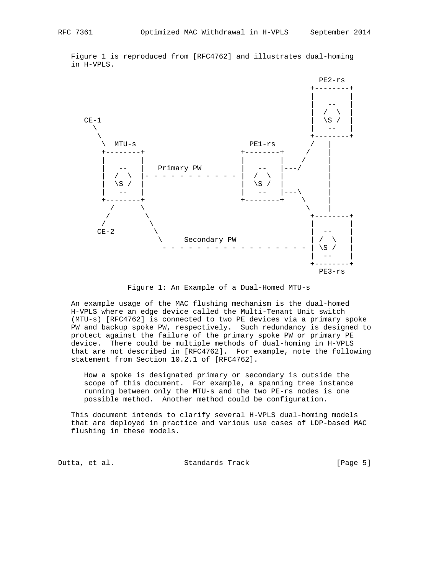Figure 1 is reproduced from [RFC4762] and illustrates dual-homing in H-VPLS.



Figure 1: An Example of a Dual-Homed MTU-s

 An example usage of the MAC flushing mechanism is the dual-homed H-VPLS where an edge device called the Multi-Tenant Unit switch (MTU-s) [RFC4762] is connected to two PE devices via a primary spoke PW and backup spoke PW, respectively. Such redundancy is designed to protect against the failure of the primary spoke PW or primary PE device. There could be multiple methods of dual-homing in H-VPLS that are not described in [RFC4762]. For example, note the following statement from Section 10.2.1 of [RFC4762].

 How a spoke is designated primary or secondary is outside the scope of this document. For example, a spanning tree instance running between only the MTU-s and the two PE-rs nodes is one possible method. Another method could be configuration.

 This document intends to clarify several H-VPLS dual-homing models that are deployed in practice and various use cases of LDP-based MAC flushing in these models.

Dutta, et al. Standards Track [Page 5]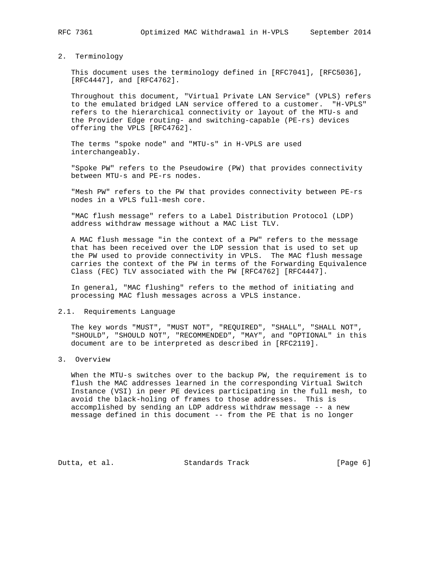## 2. Terminology

 This document uses the terminology defined in [RFC7041], [RFC5036], [RFC4447], and [RFC4762].

 Throughout this document, "Virtual Private LAN Service" (VPLS) refers to the emulated bridged LAN service offered to a customer. "H-VPLS" refers to the hierarchical connectivity or layout of the MTU-s and the Provider Edge routing- and switching-capable (PE-rs) devices offering the VPLS [RFC4762].

 The terms "spoke node" and "MTU-s" in H-VPLS are used interchangeably.

 "Spoke PW" refers to the Pseudowire (PW) that provides connectivity between MTU-s and PE-rs nodes.

 "Mesh PW" refers to the PW that provides connectivity between PE-rs nodes in a VPLS full-mesh core.

 "MAC flush message" refers to a Label Distribution Protocol (LDP) address withdraw message without a MAC List TLV.

 A MAC flush message "in the context of a PW" refers to the message that has been received over the LDP session that is used to set up the PW used to provide connectivity in VPLS. The MAC flush message carries the context of the PW in terms of the Forwarding Equivalence Class (FEC) TLV associated with the PW [RFC4762] [RFC4447].

 In general, "MAC flushing" refers to the method of initiating and processing MAC flush messages across a VPLS instance.

#### 2.1. Requirements Language

 The key words "MUST", "MUST NOT", "REQUIRED", "SHALL", "SHALL NOT", "SHOULD", "SHOULD NOT", "RECOMMENDED", "MAY", and "OPTIONAL" in this document are to be interpreted as described in [RFC2119].

## 3. Overview

 When the MTU-s switches over to the backup PW, the requirement is to flush the MAC addresses learned in the corresponding Virtual Switch Instance (VSI) in peer PE devices participating in the full mesh, to avoid the black-holing of frames to those addresses. This is accomplished by sending an LDP address withdraw message -- a new message defined in this document -- from the PE that is no longer

Dutta, et al. Standards Track [Page 6]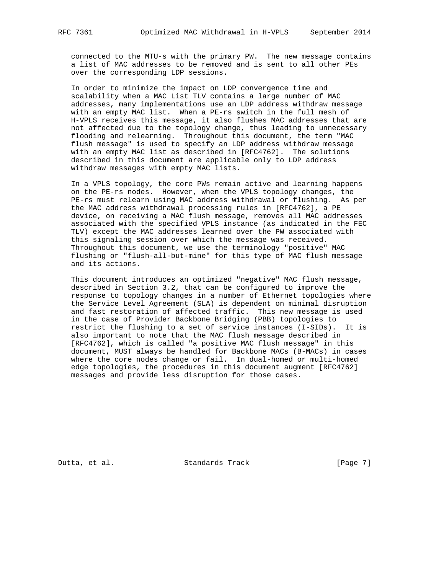connected to the MTU-s with the primary PW. The new message contains a list of MAC addresses to be removed and is sent to all other PEs over the corresponding LDP sessions.

 In order to minimize the impact on LDP convergence time and scalability when a MAC List TLV contains a large number of MAC addresses, many implementations use an LDP address withdraw message with an empty MAC list. When a PE-rs switch in the full mesh of H-VPLS receives this message, it also flushes MAC addresses that are not affected due to the topology change, thus leading to unnecessary flooding and relearning. Throughout this document, the term "MAC flush message" is used to specify an LDP address withdraw message with an empty MAC list as described in [RFC4762]. The solutions described in this document are applicable only to LDP address withdraw messages with empty MAC lists.

 In a VPLS topology, the core PWs remain active and learning happens on the PE-rs nodes. However, when the VPLS topology changes, the PE-rs must relearn using MAC address withdrawal or flushing. As per the MAC address withdrawal processing rules in [RFC4762], a PE device, on receiving a MAC flush message, removes all MAC addresses associated with the specified VPLS instance (as indicated in the FEC TLV) except the MAC addresses learned over the PW associated with this signaling session over which the message was received. Throughout this document, we use the terminology "positive" MAC flushing or "flush-all-but-mine" for this type of MAC flush message and its actions.

 This document introduces an optimized "negative" MAC flush message, described in Section 3.2, that can be configured to improve the response to topology changes in a number of Ethernet topologies where the Service Level Agreement (SLA) is dependent on minimal disruption and fast restoration of affected traffic. This new message is used in the case of Provider Backbone Bridging (PBB) topologies to restrict the flushing to a set of service instances (I-SIDs). It is also important to note that the MAC flush message described in [RFC4762], which is called "a positive MAC flush message" in this document, MUST always be handled for Backbone MACs (B-MACs) in cases where the core nodes change or fail. In dual-homed or multi-homed edge topologies, the procedures in this document augment [RFC4762] messages and provide less disruption for those cases.

Dutta, et al. Standards Track [Page 7]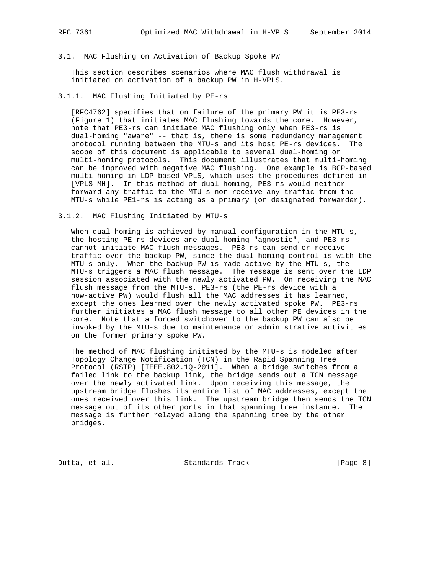## 3.1. MAC Flushing on Activation of Backup Spoke PW

 This section describes scenarios where MAC flush withdrawal is initiated on activation of a backup PW in H-VPLS.

## 3.1.1. MAC Flushing Initiated by PE-rs

 [RFC4762] specifies that on failure of the primary PW it is PE3-rs (Figure 1) that initiates MAC flushing towards the core. However, note that PE3-rs can initiate MAC flushing only when PE3-rs is dual-homing "aware" -- that is, there is some redundancy management protocol running between the MTU-s and its host PE-rs devices. The scope of this document is applicable to several dual-homing or multi-homing protocols. This document illustrates that multi-homing can be improved with negative MAC flushing. One example is BGP-based multi-homing in LDP-based VPLS, which uses the procedures defined in [VPLS-MH]. In this method of dual-homing, PE3-rs would neither forward any traffic to the MTU-s nor receive any traffic from the MTU-s while PE1-rs is acting as a primary (or designated forwarder).

## 3.1.2. MAC Flushing Initiated by MTU-s

When dual-homing is achieved by manual configuration in the MTU-s, the hosting PE-rs devices are dual-homing "agnostic", and PE3-rs cannot initiate MAC flush messages. PE3-rs can send or receive traffic over the backup PW, since the dual-homing control is with the MTU-s only. When the backup PW is made active by the MTU-s, the MTU-s triggers a MAC flush message. The message is sent over the LDP session associated with the newly activated PW. On receiving the MAC flush message from the MTU-s, PE3-rs (the PE-rs device with a now-active PW) would flush all the MAC addresses it has learned, except the ones learned over the newly activated spoke PW. PE3-rs further initiates a MAC flush message to all other PE devices in the core. Note that a forced switchover to the backup PW can also be invoked by the MTU-s due to maintenance or administrative activities on the former primary spoke PW.

 The method of MAC flushing initiated by the MTU-s is modeled after Topology Change Notification (TCN) in the Rapid Spanning Tree Protocol (RSTP) [IEEE.802.1Q-2011]. When a bridge switches from a failed link to the backup link, the bridge sends out a TCN message over the newly activated link. Upon receiving this message, the upstream bridge flushes its entire list of MAC addresses, except the ones received over this link. The upstream bridge then sends the TCN message out of its other ports in that spanning tree instance. The message is further relayed along the spanning tree by the other bridges.

Dutta, et al. Standards Track [Page 8]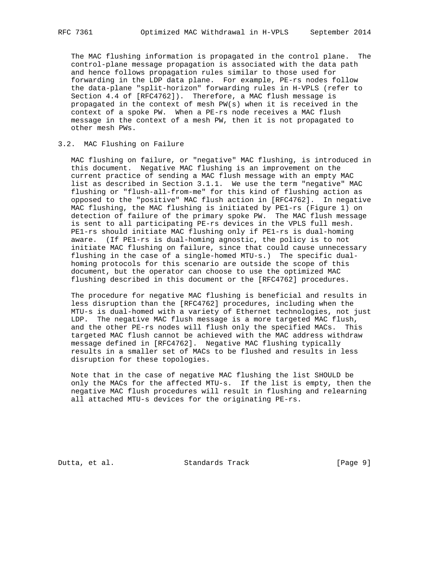The MAC flushing information is propagated in the control plane. The control-plane message propagation is associated with the data path and hence follows propagation rules similar to those used for forwarding in the LDP data plane. For example, PE-rs nodes follow the data-plane "split-horizon" forwarding rules in H-VPLS (refer to Section 4.4 of [RFC4762]). Therefore, a MAC flush message is propagated in the context of mesh PW(s) when it is received in the context of a spoke PW. When a PE-rs node receives a MAC flush message in the context of a mesh PW, then it is not propagated to other mesh PWs.

## 3.2. MAC Flushing on Failure

 MAC flushing on failure, or "negative" MAC flushing, is introduced in this document. Negative MAC flushing is an improvement on the current practice of sending a MAC flush message with an empty MAC list as described in Section 3.1.1. We use the term "negative" MAC flushing or "flush-all-from-me" for this kind of flushing action as opposed to the "positive" MAC flush action in [RFC4762]. In negative MAC flushing, the MAC flushing is initiated by PE1-rs (Figure 1) on detection of failure of the primary spoke PW. The MAC flush message is sent to all participating PE-rs devices in the VPLS full mesh. PE1-rs should initiate MAC flushing only if PE1-rs is dual-homing aware. (If PE1-rs is dual-homing agnostic, the policy is to not initiate MAC flushing on failure, since that could cause unnecessary flushing in the case of a single-homed MTU-s.) The specific dual homing protocols for this scenario are outside the scope of this document, but the operator can choose to use the optimized MAC flushing described in this document or the [RFC4762] procedures.

 The procedure for negative MAC flushing is beneficial and results in less disruption than the [RFC4762] procedures, including when the MTU-s is dual-homed with a variety of Ethernet technologies, not just LDP. The negative MAC flush message is a more targeted MAC flush, and the other PE-rs nodes will flush only the specified MACs. This targeted MAC flush cannot be achieved with the MAC address withdraw message defined in [RFC4762]. Negative MAC flushing typically results in a smaller set of MACs to be flushed and results in less disruption for these topologies.

 Note that in the case of negative MAC flushing the list SHOULD be only the MACs for the affected MTU-s. If the list is empty, then the negative MAC flush procedures will result in flushing and relearning all attached MTU-s devices for the originating PE-rs.

Dutta, et al. Standards Track [Page 9]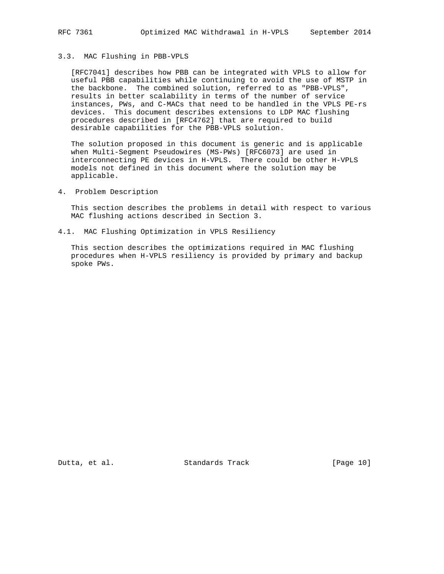## 3.3. MAC Flushing in PBB-VPLS

 [RFC7041] describes how PBB can be integrated with VPLS to allow for useful PBB capabilities while continuing to avoid the use of MSTP in the backbone. The combined solution, referred to as "PBB-VPLS", results in better scalability in terms of the number of service instances, PWs, and C-MACs that need to be handled in the VPLS PE-rs devices. This document describes extensions to LDP MAC flushing procedures described in [RFC4762] that are required to build desirable capabilities for the PBB-VPLS solution.

 The solution proposed in this document is generic and is applicable when Multi-Segment Pseudowires (MS-PWs) [RFC6073] are used in interconnecting PE devices in H-VPLS. There could be other H-VPLS models not defined in this document where the solution may be applicable.

4. Problem Description

 This section describes the problems in detail with respect to various MAC flushing actions described in Section 3.

4.1. MAC Flushing Optimization in VPLS Resiliency

 This section describes the optimizations required in MAC flushing procedures when H-VPLS resiliency is provided by primary and backup spoke PWs.

Dutta, et al. Standards Track [Page 10]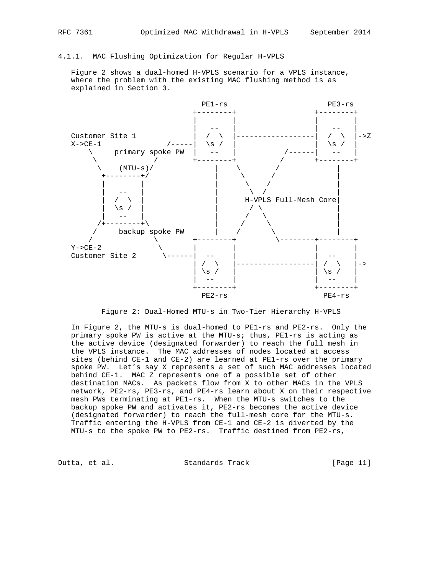## 4.1.1. MAC Flushing Optimization for Regular H-VPLS

 Figure 2 shows a dual-homed H-VPLS scenario for a VPLS instance, where the problem with the existing MAC flushing method is as explained in Section 3.



Figure 2: Dual-Homed MTU-s in Two-Tier Hierarchy H-VPLS

 In Figure 2, the MTU-s is dual-homed to PE1-rs and PE2-rs. Only the primary spoke PW is active at the MTU-s; thus, PE1-rs is acting as the active device (designated forwarder) to reach the full mesh in the VPLS instance. The MAC addresses of nodes located at access sites (behind CE-1 and CE-2) are learned at PE1-rs over the primary spoke PW. Let's say X represents a set of such MAC addresses located behind CE-1. MAC Z represents one of a possible set of other destination MACs. As packets flow from X to other MACs in the VPLS network, PE2-rs, PE3-rs, and PE4-rs learn about X on their respective mesh PWs terminating at PE1-rs. When the MTU-s switches to the backup spoke PW and activates it, PE2-rs becomes the active device (designated forwarder) to reach the full-mesh core for the MTU-s. Traffic entering the H-VPLS from CE-1 and CE-2 is diverted by the MTU-s to the spoke PW to PE2-rs. Traffic destined from PE2-rs,

Dutta, et al. Standards Track [Page 11]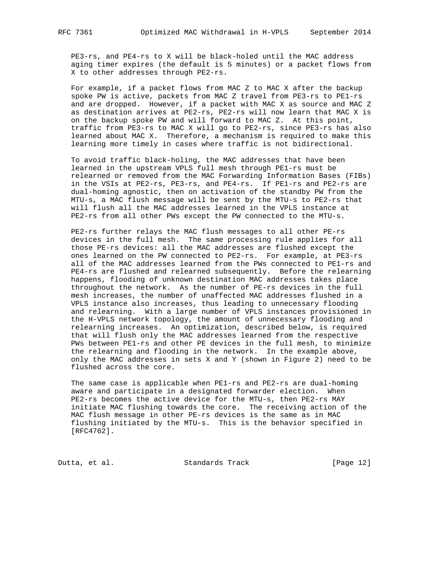PE3-rs, and PE4-rs to X will be black-holed until the MAC address aging timer expires (the default is 5 minutes) or a packet flows from X to other addresses through PE2-rs.

 For example, if a packet flows from MAC Z to MAC X after the backup spoke PW is active, packets from MAC Z travel from PE3-rs to PE1-rs and are dropped. However, if a packet with MAC X as source and MAC Z as destination arrives at PE2-rs, PE2-rs will now learn that MAC X is on the backup spoke PW and will forward to MAC Z. At this point, traffic from PE3-rs to MAC X will go to PE2-rs, since PE3-rs has also learned about MAC X. Therefore, a mechanism is required to make this learning more timely in cases where traffic is not bidirectional.

 To avoid traffic black-holing, the MAC addresses that have been learned in the upstream VPLS full mesh through PE1-rs must be relearned or removed from the MAC Forwarding Information Bases (FIBs) in the VSIs at PE2-rs, PE3-rs, and PE4-rs. If PE1-rs and PE2-rs are dual-homing agnostic, then on activation of the standby PW from the MTU-s, a MAC flush message will be sent by the MTU-s to PE2-rs that will flush all the MAC addresses learned in the VPLS instance at PE2-rs from all other PWs except the PW connected to the MTU-s.

 PE2-rs further relays the MAC flush messages to all other PE-rs devices in the full mesh. The same processing rule applies for all those PE-rs devices: all the MAC addresses are flushed except the ones learned on the PW connected to PE2-rs. For example, at PE3-rs all of the MAC addresses learned from the PWs connected to PE1-rs and PE4-rs are flushed and relearned subsequently. Before the relearning happens, flooding of unknown destination MAC addresses takes place throughout the network. As the number of PE-rs devices in the full mesh increases, the number of unaffected MAC addresses flushed in a VPLS instance also increases, thus leading to unnecessary flooding and relearning. With a large number of VPLS instances provisioned in the H-VPLS network topology, the amount of unnecessary flooding and relearning increases. An optimization, described below, is required that will flush only the MAC addresses learned from the respective PWs between PE1-rs and other PE devices in the full mesh, to minimize the relearning and flooding in the network. In the example above, only the MAC addresses in sets X and Y (shown in Figure 2) need to be flushed across the core.

 The same case is applicable when PE1-rs and PE2-rs are dual-homing aware and participate in a designated forwarder election. When PE2-rs becomes the active device for the MTU-s, then PE2-rs MAY initiate MAC flushing towards the core. The receiving action of the MAC flush message in other PE-rs devices is the same as in MAC flushing initiated by the MTU-s. This is the behavior specified in [RFC4762].

Dutta, et al. Standards Track [Page 12]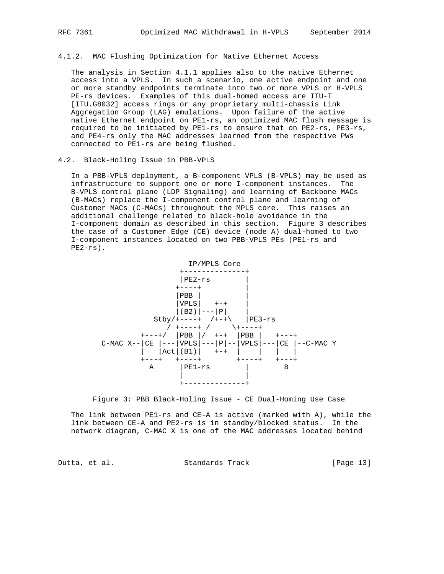4.1.2. MAC Flushing Optimization for Native Ethernet Access

 The analysis in Section 4.1.1 applies also to the native Ethernet access into a VPLS. In such a scenario, one active endpoint and one or more standby endpoints terminate into two or more VPLS or H-VPLS PE-rs devices. Examples of this dual-homed access are ITU-T [ITU.G8032] access rings or any proprietary multi-chassis Link Aggregation Group (LAG) emulations. Upon failure of the active native Ethernet endpoint on PE1-rs, an optimized MAC flush message is required to be initiated by PE1-rs to ensure that on PE2-rs, PE3-rs, and PE4-rs only the MAC addresses learned from the respective PWs connected to PE1-rs are being flushed.

### 4.2. Black-Holing Issue in PBB-VPLS

 In a PBB-VPLS deployment, a B-component VPLS (B-VPLS) may be used as infrastructure to support one or more I-component instances. The B-VPLS control plane (LDP Signaling) and learning of Backbone MACs (B-MACs) replace the I-component control plane and learning of Customer MACs (C-MACs) throughout the MPLS core. This raises an additional challenge related to black-hole avoidance in the I-component domain as described in this section. Figure 3 describes the case of a Customer Edge (CE) device (node A) dual-homed to two I-component instances located on two PBB-VPLS PEs (PE1-rs and PE2-rs).



Figure 3: PBB Black-Holing Issue - CE Dual-Homing Use Case

 The link between PE1-rs and CE-A is active (marked with A), while the link between CE-A and PE2-rs is in standby/blocked status. In the network diagram, C-MAC X is one of the MAC addresses located behind

Dutta, et al. Standards Track [Page 13]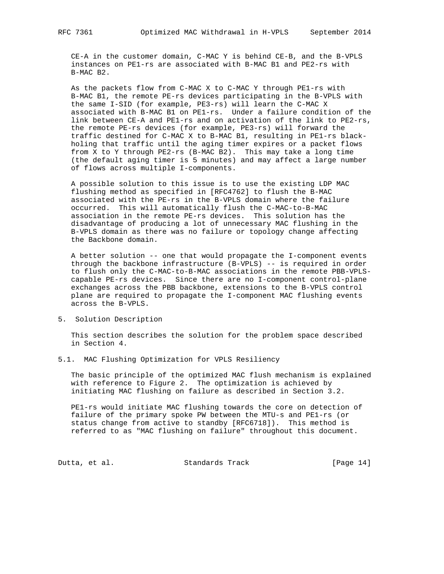CE-A in the customer domain, C-MAC Y is behind CE-B, and the B-VPLS instances on PE1-rs are associated with B-MAC B1 and PE2-rs with B-MAC B2.

 As the packets flow from C-MAC X to C-MAC Y through PE1-rs with B-MAC B1, the remote PE-rs devices participating in the B-VPLS with the same I-SID (for example, PE3-rs) will learn the C-MAC X associated with B-MAC B1 on PE1-rs. Under a failure condition of the link between CE-A and PE1-rs and on activation of the link to PE2-rs, the remote PE-rs devices (for example, PE3-rs) will forward the traffic destined for C-MAC X to B-MAC B1, resulting in PE1-rs black holing that traffic until the aging timer expires or a packet flows from X to Y through PE2-rs (B-MAC B2). This may take a long time (the default aging timer is 5 minutes) and may affect a large number of flows across multiple I-components.

 A possible solution to this issue is to use the existing LDP MAC flushing method as specified in [RFC4762] to flush the B-MAC associated with the PE-rs in the B-VPLS domain where the failure occurred. This will automatically flush the C-MAC-to-B-MAC association in the remote PE-rs devices. This solution has the disadvantage of producing a lot of unnecessary MAC flushing in the B-VPLS domain as there was no failure or topology change affecting the Backbone domain.

 A better solution -- one that would propagate the I-component events through the backbone infrastructure (B-VPLS) -- is required in order to flush only the C-MAC-to-B-MAC associations in the remote PBB-VPLS capable PE-rs devices. Since there are no I-component control-plane exchanges across the PBB backbone, extensions to the B-VPLS control plane are required to propagate the I-component MAC flushing events across the B-VPLS.

5. Solution Description

 This section describes the solution for the problem space described in Section 4.

5.1. MAC Flushing Optimization for VPLS Resiliency

 The basic principle of the optimized MAC flush mechanism is explained with reference to Figure 2. The optimization is achieved by initiating MAC flushing on failure as described in Section 3.2.

 PE1-rs would initiate MAC flushing towards the core on detection of failure of the primary spoke PW between the MTU-s and PE1-rs (or status change from active to standby [RFC6718]). This method is referred to as "MAC flushing on failure" throughout this document.

Dutta, et al. Standards Track [Page 14]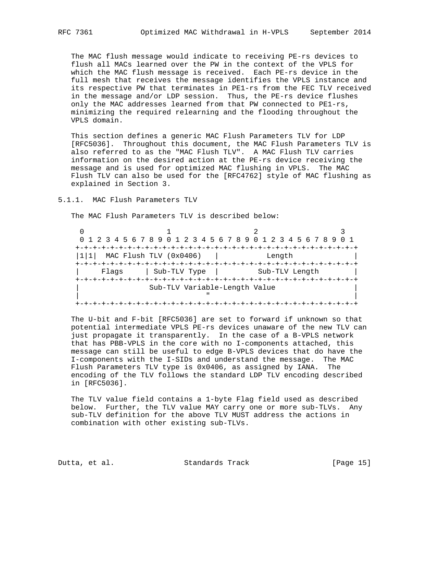The MAC flush message would indicate to receiving PE-rs devices to flush all MACs learned over the PW in the context of the VPLS for which the MAC flush message is received. Each PE-rs device in the full mesh that receives the message identifies the VPLS instance and its respective PW that terminates in PE1-rs from the FEC TLV received in the message and/or LDP session. Thus, the PE-rs device flushes only the MAC addresses learned from that PW connected to PE1-rs, minimizing the required relearning and the flooding throughout the VPLS domain.

 This section defines a generic MAC Flush Parameters TLV for LDP [RFC5036]. Throughout this document, the MAC Flush Parameters TLV is also referred to as the "MAC Flush TLV". A MAC Flush TLV carries information on the desired action at the PE-rs device receiving the message and is used for optimized MAC flushing in VPLS. The MAC Flush TLV can also be used for the [RFC4762] style of MAC flushing as explained in Section 3.

5.1.1. MAC Flush Parameters TLV

The MAC Flush Parameters TLV is described below:

|      | 0 1 2 3 4 5 6 7 8 9 0 1 2 3 4 5 6 7 8 9 0 1 2 3 4 5 6 7 8 9 |  |  |  |              |  |  |  |  |  |  |  |                |  |  |  |  |  |  |
|------|-------------------------------------------------------------|--|--|--|--------------|--|--|--|--|--|--|--|----------------|--|--|--|--|--|--|
|      |                                                             |  |  |  |              |  |  |  |  |  |  |  |                |  |  |  |  |  |  |
| 1111 | MAC Flush TLV (0x0406)<br>Length                            |  |  |  |              |  |  |  |  |  |  |  |                |  |  |  |  |  |  |
|      |                                                             |  |  |  |              |  |  |  |  |  |  |  |                |  |  |  |  |  |  |
|      | Flags                                                       |  |  |  | Sub-TLV Type |  |  |  |  |  |  |  | Sub-TLV Length |  |  |  |  |  |  |
|      |                                                             |  |  |  |              |  |  |  |  |  |  |  |                |  |  |  |  |  |  |
|      | Sub-TLV Variable-Length Value                               |  |  |  |              |  |  |  |  |  |  |  |                |  |  |  |  |  |  |
|      |                                                             |  |  |  |              |  |  |  |  |  |  |  |                |  |  |  |  |  |  |
|      |                                                             |  |  |  |              |  |  |  |  |  |  |  |                |  |  |  |  |  |  |

 The U-bit and F-bit [RFC5036] are set to forward if unknown so that potential intermediate VPLS PE-rs devices unaware of the new TLV can just propagate it transparently. In the case of a B-VPLS network that has PBB-VPLS in the core with no I-components attached, this message can still be useful to edge B-VPLS devices that do have the I-components with the I-SIDs and understand the message. The MAC Flush Parameters TLV type is 0x0406, as assigned by IANA. The encoding of the TLV follows the standard LDP TLV encoding described in [RFC5036].

 The TLV value field contains a 1-byte Flag field used as described below. Further, the TLV value MAY carry one or more sub-TLVs. Any sub-TLV definition for the above TLV MUST address the actions in combination with other existing sub-TLVs.

Dutta, et al. Standards Track [Page 15]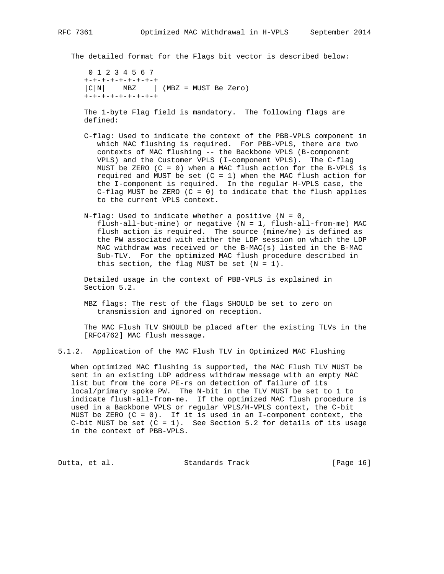The detailed format for the Flags bit vector is described below:

 0 1 2 3 4 5 6 7 +-+-+-+-+-+-+-+-+  $|C|N|$  MBZ | (MBZ = MUST Be Zero) +-+-+-+-+-+-+-+-+

 The 1-byte Flag field is mandatory. The following flags are defined:

- C-flag: Used to indicate the context of the PBB-VPLS component in which MAC flushing is required. For PBB-VPLS, there are two contexts of MAC flushing -- the Backbone VPLS (B-component VPLS) and the Customer VPLS (I-component VPLS). The C-flag MUST be ZERO  $(C = 0)$  when a MAC flush action for the B-VPLS is required and MUST be set  $(C = 1)$  when the MAC flush action for the I-component is required. In the regular H-VPLS case, the C-flag MUST be ZERO  $(C = 0)$  to indicate that the flush applies to the current VPLS context.
- N-flag: Used to indicate whether a positive  $(N = 0,$  flush-all-but-mine) or negative (N = 1, flush-all-from-me) MAC flush action is required. The source (mine/me) is defined as the PW associated with either the LDP session on which the LDP MAC withdraw was received or the B-MAC(s) listed in the B-MAC Sub-TLV. For the optimized MAC flush procedure described in this section, the flag MUST be set  $(N = 1)$ .

 Detailed usage in the context of PBB-VPLS is explained in Section 5.2.

 MBZ flags: The rest of the flags SHOULD be set to zero on transmission and ignored on reception.

 The MAC Flush TLV SHOULD be placed after the existing TLVs in the [RFC4762] MAC flush message.

5.1.2. Application of the MAC Flush TLV in Optimized MAC Flushing

 When optimized MAC flushing is supported, the MAC Flush TLV MUST be sent in an existing LDP address withdraw message with an empty MAC list but from the core PE-rs on detection of failure of its local/primary spoke PW. The N-bit in the TLV MUST be set to 1 to indicate flush-all-from-me. If the optimized MAC flush procedure is used in a Backbone VPLS or regular VPLS/H-VPLS context, the C-bit MUST be ZERO  $(C = 0)$ . If it is used in an I-component context, the C-bit MUST be set  $(C = 1)$ . See Section 5.2 for details of its usage in the context of PBB-VPLS.

Dutta, et al. Standards Track [Page 16]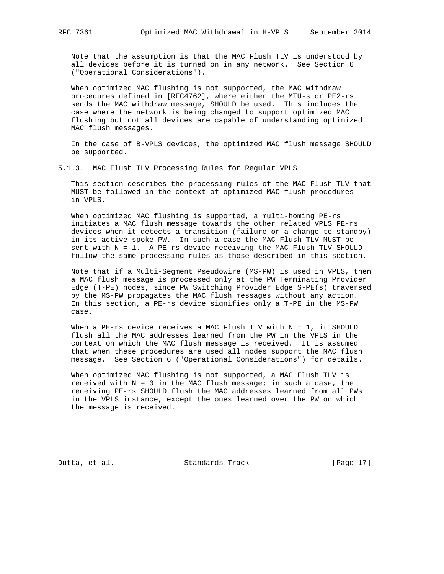Note that the assumption is that the MAC Flush TLV is understood by all devices before it is turned on in any network. See Section 6 ("Operational Considerations").

 When optimized MAC flushing is not supported, the MAC withdraw procedures defined in [RFC4762], where either the MTU-s or PE2-rs sends the MAC withdraw message, SHOULD be used. This includes the case where the network is being changed to support optimized MAC flushing but not all devices are capable of understanding optimized MAC flush messages.

 In the case of B-VPLS devices, the optimized MAC flush message SHOULD be supported.

5.1.3. MAC Flush TLV Processing Rules for Regular VPLS

 This section describes the processing rules of the MAC Flush TLV that MUST be followed in the context of optimized MAC flush procedures in VPLS.

When optimized MAC flushing is supported, a multi-homing PE-rs initiates a MAC flush message towards the other related VPLS PE-rs devices when it detects a transition (failure or a change to standby) in its active spoke PW. In such a case the MAC Flush TLV MUST be sent with N = 1. A PE-rs device receiving the MAC Flush TLV SHOULD follow the same processing rules as those described in this section.

 Note that if a Multi-Segment Pseudowire (MS-PW) is used in VPLS, then a MAC flush message is processed only at the PW Terminating Provider Edge (T-PE) nodes, since PW Switching Provider Edge S-PE(s) traversed by the MS-PW propagates the MAC flush messages without any action. In this section, a PE-rs device signifies only a T-PE in the MS-PW case.

When a PE-rs device receives a MAC Flush TLV with  $N = 1$ , it SHOULD flush all the MAC addresses learned from the PW in the VPLS in the context on which the MAC flush message is received. It is assumed that when these procedures are used all nodes support the MAC flush message. See Section 6 ("Operational Considerations") for details.

 When optimized MAC flushing is not supported, a MAC Flush TLV is received with  $N = 0$  in the MAC flush message; in such a case, the receiving PE-rs SHOULD flush the MAC addresses learned from all PWs in the VPLS instance, except the ones learned over the PW on which the message is received.

Dutta, et al. Standards Track [Page 17]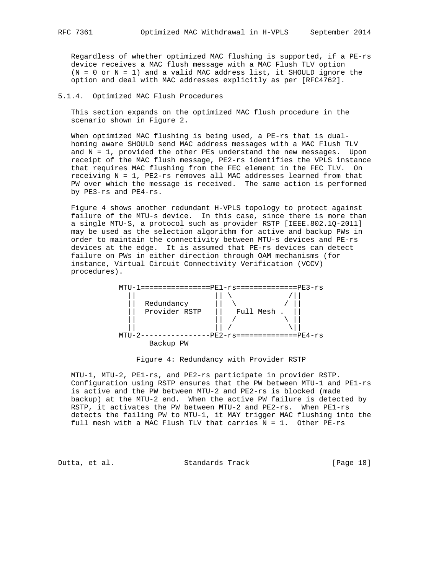Regardless of whether optimized MAC flushing is supported, if a PE-rs device receives a MAC flush message with a MAC Flush TLV option  $(N = 0 \text{ or } N = 1)$  and a valid MAC address list, it SHOULD ignore the option and deal with MAC addresses explicitly as per [RFC4762].

## 5.1.4. Optimized MAC Flush Procedures

 This section expands on the optimized MAC flush procedure in the scenario shown in Figure 2.

 When optimized MAC flushing is being used, a PE-rs that is dual homing aware SHOULD send MAC address messages with a MAC Flush TLV and N = 1, provided the other PEs understand the new messages. Upon receipt of the MAC flush message, PE2-rs identifies the VPLS instance that requires MAC flushing from the FEC element in the FEC TLV. On receiving N = 1, PE2-rs removes all MAC addresses learned from that PW over which the message is received. The same action is performed by PE3-rs and PE4-rs.

 Figure 4 shows another redundant H-VPLS topology to protect against failure of the MTU-s device. In this case, since there is more than a single MTU-S, a protocol such as provider RSTP [IEEE.802.1Q-2011] may be used as the selection algorithm for active and backup PWs in order to maintain the connectivity between MTU-s devices and PE-rs devices at the edge. It is assumed that PE-rs devices can detect failure on PWs in either direction through OAM mechanisms (for instance, Virtual Circuit Connectivity Verification (VCCV) procedures).



#### Figure 4: Redundancy with Provider RSTP

 MTU-1, MTU-2, PE1-rs, and PE2-rs participate in provider RSTP. Configuration using RSTP ensures that the PW between MTU-1 and PE1-rs is active and the PW between MTU-2 and PE2-rs is blocked (made backup) at the MTU-2 end. When the active PW failure is detected by RSTP, it activates the PW between MTU-2 and PE2-rs. When PE1-rs detects the failing PW to MTU-1, it MAY trigger MAC flushing into the full mesh with a MAC Flush TLV that carries N = 1. Other PE-rs

Dutta, et al. Standards Track [Page 18]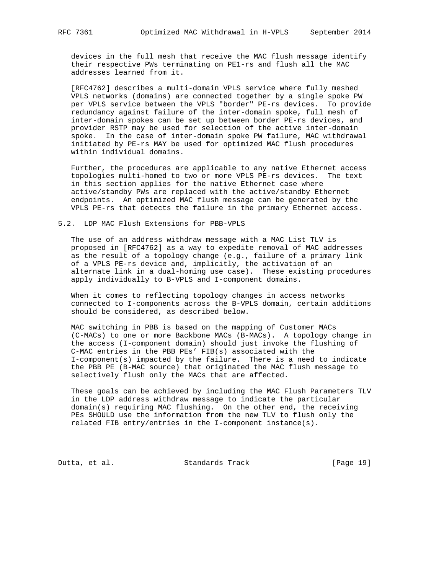devices in the full mesh that receive the MAC flush message identify their respective PWs terminating on PE1-rs and flush all the MAC addresses learned from it.

 [RFC4762] describes a multi-domain VPLS service where fully meshed VPLS networks (domains) are connected together by a single spoke PW per VPLS service between the VPLS "border" PE-rs devices. To provide redundancy against failure of the inter-domain spoke, full mesh of inter-domain spokes can be set up between border PE-rs devices, and provider RSTP may be used for selection of the active inter-domain spoke. In the case of inter-domain spoke PW failure, MAC withdrawal initiated by PE-rs MAY be used for optimized MAC flush procedures within individual domains.

 Further, the procedures are applicable to any native Ethernet access topologies multi-homed to two or more VPLS PE-rs devices. The text in this section applies for the native Ethernet case where active/standby PWs are replaced with the active/standby Ethernet endpoints. An optimized MAC flush message can be generated by the VPLS PE-rs that detects the failure in the primary Ethernet access.

## 5.2. LDP MAC Flush Extensions for PBB-VPLS

 The use of an address withdraw message with a MAC List TLV is proposed in [RFC4762] as a way to expedite removal of MAC addresses as the result of a topology change (e.g., failure of a primary link of a VPLS PE-rs device and, implicitly, the activation of an alternate link in a dual-homing use case). These existing procedures apply individually to B-VPLS and I-component domains.

 When it comes to reflecting topology changes in access networks connected to I-components across the B-VPLS domain, certain additions should be considered, as described below.

 MAC switching in PBB is based on the mapping of Customer MACs (C-MACs) to one or more Backbone MACs (B-MACs). A topology change in the access (I-component domain) should just invoke the flushing of C-MAC entries in the PBB PEs' FIB(s) associated with the I-component(s) impacted by the failure. There is a need to indicate the PBB PE (B-MAC source) that originated the MAC flush message to selectively flush only the MACs that are affected.

 These goals can be achieved by including the MAC Flush Parameters TLV in the LDP address withdraw message to indicate the particular domain(s) requiring MAC flushing. On the other end, the receiving PEs SHOULD use the information from the new TLV to flush only the related FIB entry/entries in the I-component instance(s).

Dutta, et al. Standards Track [Page 19]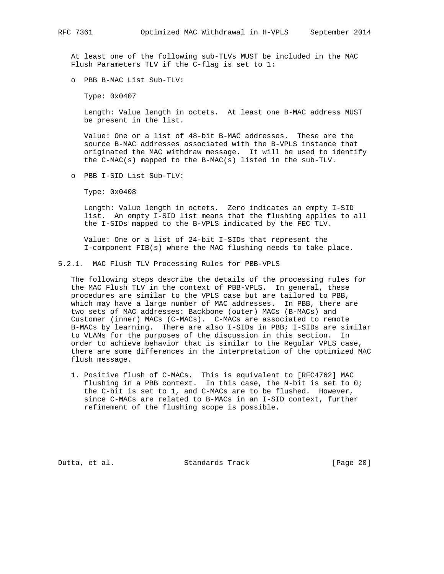At least one of the following sub-TLVs MUST be included in the MAC Flush Parameters TLV if the C-flag is set to 1:

o PBB B-MAC List Sub-TLV:

Type: 0x0407

 Length: Value length in octets. At least one B-MAC address MUST be present in the list.

 Value: One or a list of 48-bit B-MAC addresses. These are the source B-MAC addresses associated with the B-VPLS instance that originated the MAC withdraw message. It will be used to identify the C-MAC(s) mapped to the B-MAC(s) listed in the sub-TLV.

o PBB I-SID List Sub-TLV:

Type: 0x0408

 Length: Value length in octets. Zero indicates an empty I-SID list. An empty I-SID list means that the flushing applies to all the I-SIDs mapped to the B-VPLS indicated by the FEC TLV.

 Value: One or a list of 24-bit I-SIDs that represent the I-component FIB(s) where the MAC flushing needs to take place.

5.2.1. MAC Flush TLV Processing Rules for PBB-VPLS

 The following steps describe the details of the processing rules for the MAC Flush TLV in the context of PBB-VPLS. In general, these procedures are similar to the VPLS case but are tailored to PBB, which may have a large number of MAC addresses. In PBB, there are two sets of MAC addresses: Backbone (outer) MACs (B-MACs) and Customer (inner) MACs (C-MACs). C-MACs are associated to remote B-MACs by learning. There are also I-SIDs in PBB; I-SIDs are similar to VLANs for the purposes of the discussion in this section. In order to achieve behavior that is similar to the Regular VPLS case, there are some differences in the interpretation of the optimized MAC flush message.

 1. Positive flush of C-MACs. This is equivalent to [RFC4762] MAC flushing in a PBB context. In this case, the N-bit is set to 0; the C-bit is set to 1, and C-MACs are to be flushed. However, since C-MACs are related to B-MACs in an I-SID context, further refinement of the flushing scope is possible.

Dutta, et al. Standards Track [Page 20]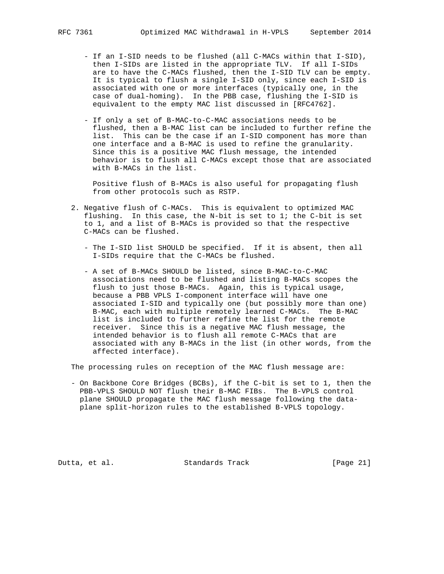- If an I-SID needs to be flushed (all C-MACs within that I-SID), then I-SIDs are listed in the appropriate TLV. If all I-SIDs are to have the C-MACs flushed, then the I-SID TLV can be empty. It is typical to flush a single I-SID only, since each I-SID is associated with one or more interfaces (typically one, in the case of dual-homing). In the PBB case, flushing the I-SID is equivalent to the empty MAC list discussed in [RFC4762].
- If only a set of B-MAC-to-C-MAC associations needs to be flushed, then a B-MAC list can be included to further refine the list. This can be the case if an I-SID component has more than one interface and a B-MAC is used to refine the granularity. Since this is a positive MAC flush message, the intended behavior is to flush all C-MACs except those that are associated with B-MACs in the list.

 Positive flush of B-MACs is also useful for propagating flush from other protocols such as RSTP.

- 2. Negative flush of C-MACs. This is equivalent to optimized MAC flushing. In this case, the N-bit is set to 1; the C-bit is set to 1, and a list of B-MACs is provided so that the respective C-MACs can be flushed.
	- The I-SID list SHOULD be specified. If it is absent, then all I-SIDs require that the C-MACs be flushed.
	- A set of B-MACs SHOULD be listed, since B-MAC-to-C-MAC associations need to be flushed and listing B-MACs scopes the flush to just those B-MACs. Again, this is typical usage, because a PBB VPLS I-component interface will have one associated I-SID and typically one (but possibly more than one) B-MAC, each with multiple remotely learned C-MACs. The B-MAC list is included to further refine the list for the remote receiver. Since this is a negative MAC flush message, the intended behavior is to flush all remote C-MACs that are associated with any B-MACs in the list (in other words, from the affected interface).

The processing rules on reception of the MAC flush message are:

 - On Backbone Core Bridges (BCBs), if the C-bit is set to 1, then the PBB-VPLS SHOULD NOT flush their B-MAC FIBs. The B-VPLS control plane SHOULD propagate the MAC flush message following the data plane split-horizon rules to the established B-VPLS topology.

Dutta, et al. Standards Track [Page 21]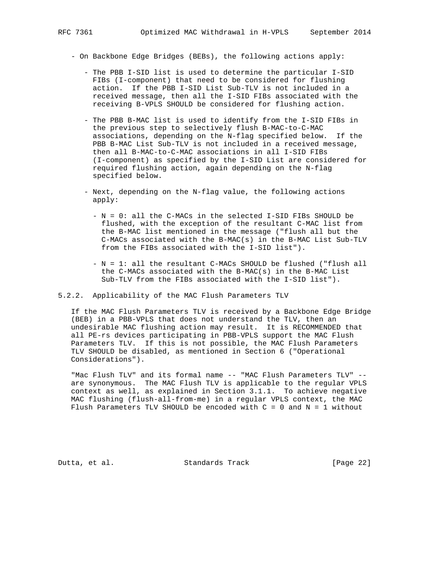- On Backbone Edge Bridges (BEBs), the following actions apply:
	- The PBB I-SID list is used to determine the particular I-SID FIBs (I-component) that need to be considered for flushing action. If the PBB I-SID List Sub-TLV is not included in a received message, then all the I-SID FIBs associated with the receiving B-VPLS SHOULD be considered for flushing action.
	- The PBB B-MAC list is used to identify from the I-SID FIBs in the previous step to selectively flush B-MAC-to-C-MAC associations, depending on the N-flag specified below. If the PBB B-MAC List Sub-TLV is not included in a received message, then all B-MAC-to-C-MAC associations in all I-SID FIBs (I-component) as specified by the I-SID List are considered for required flushing action, again depending on the N-flag specified below.
	- Next, depending on the N-flag value, the following actions apply:
		- N = 0: all the C-MACs in the selected I-SID FIBs SHOULD be flushed, with the exception of the resultant C-MAC list from the B-MAC list mentioned in the message ("flush all but the C-MACs associated with the B-MAC(s) in the B-MAC List Sub-TLV from the FIBs associated with the I-SID list").
		- N = 1: all the resultant C-MACs SHOULD be flushed ("flush all the C-MACs associated with the B-MAC(s) in the B-MAC List Sub-TLV from the FIBs associated with the I-SID list").

### 5.2.2. Applicability of the MAC Flush Parameters TLV

 If the MAC Flush Parameters TLV is received by a Backbone Edge Bridge (BEB) in a PBB-VPLS that does not understand the TLV, then an undesirable MAC flushing action may result. It is RECOMMENDED that all PE-rs devices participating in PBB-VPLS support the MAC Flush Parameters TLV. If this is not possible, the MAC Flush Parameters TLV SHOULD be disabled, as mentioned in Section 6 ("Operational Considerations").

 "Mac Flush TLV" and its formal name -- "MAC Flush Parameters TLV" - are synonymous. The MAC Flush TLV is applicable to the regular VPLS context as well, as explained in Section 3.1.1. To achieve negative MAC flushing (flush-all-from-me) in a regular VPLS context, the MAC Flush Parameters TLV SHOULD be encoded with  $C = 0$  and  $N = 1$  without

Dutta, et al. Standards Track [Page 22]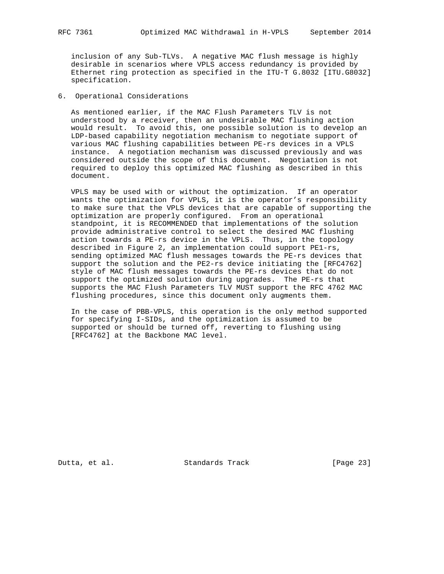inclusion of any Sub-TLVs. A negative MAC flush message is highly desirable in scenarios where VPLS access redundancy is provided by Ethernet ring protection as specified in the ITU-T G.8032 [ITU.G8032] specification.

## 6. Operational Considerations

 As mentioned earlier, if the MAC Flush Parameters TLV is not understood by a receiver, then an undesirable MAC flushing action would result. To avoid this, one possible solution is to develop an LDP-based capability negotiation mechanism to negotiate support of various MAC flushing capabilities between PE-rs devices in a VPLS instance. A negotiation mechanism was discussed previously and was considered outside the scope of this document. Negotiation is not required to deploy this optimized MAC flushing as described in this document.

 VPLS may be used with or without the optimization. If an operator wants the optimization for VPLS, it is the operator's responsibility to make sure that the VPLS devices that are capable of supporting the optimization are properly configured. From an operational standpoint, it is RECOMMENDED that implementations of the solution provide administrative control to select the desired MAC flushing action towards a PE-rs device in the VPLS. Thus, in the topology described in Figure 2, an implementation could support PE1-rs, sending optimized MAC flush messages towards the PE-rs devices that support the solution and the PE2-rs device initiating the [RFC4762] style of MAC flush messages towards the PE-rs devices that do not support the optimized solution during upgrades. The PE-rs that supports the MAC Flush Parameters TLV MUST support the RFC 4762 MAC flushing procedures, since this document only augments them.

 In the case of PBB-VPLS, this operation is the only method supported for specifying I-SIDs, and the optimization is assumed to be supported or should be turned off, reverting to flushing using [RFC4762] at the Backbone MAC level.

Dutta, et al. Standards Track [Page 23]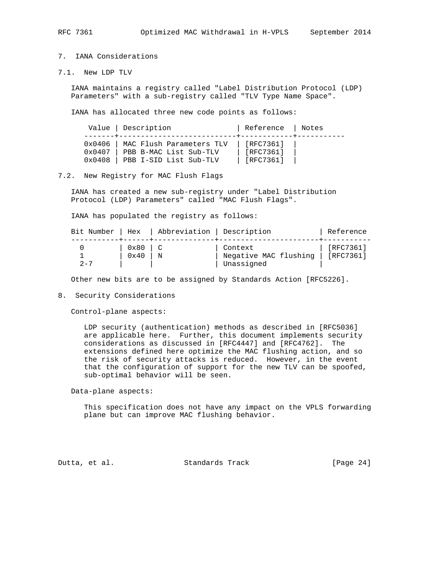## 7. IANA Considerations

7.1. New LDP TLV

 IANA maintains a registry called "Label Distribution Protocol (LDP) Parameters" with a sub-registry called "TLV Type Name Space".

IANA has allocated three new code points as follows:

|                 | Value   Description      | Reference   Notes |  |  |  |  |
|-----------------|--------------------------|-------------------|--|--|--|--|
| $0 \times 0406$ | MAC Flush Parameters TLV | [RFC7361]         |  |  |  |  |
| $0 \times 0407$ | PBB B-MAC List Sub-TLV   | [RFC7361]         |  |  |  |  |
| $0 \times 0408$ | PBB I-SID List Sub-TLV   | [RFC7361]         |  |  |  |  |

## 7.2. New Registry for MAC Flush Flags

 IANA has created a new sub-registry under "Label Distribution Protocol (LDP) Parameters" called "MAC Flush Flags".

IANA has populated the registry as follows:

| Bit Number   Hex |                       | Abbreviation   Description |                                                | Reference                      |
|------------------|-----------------------|----------------------------|------------------------------------------------|--------------------------------|
| $2 - 7$          | 0x80<br>$0 \times 40$ | N                          | Context<br>Negative MAC flushing<br>Unassigned | [RFC7361]<br>$\vert$ [RFC7361] |

Other new bits are to be assigned by Standards Action [RFC5226].

### 8. Security Considerations

Control-plane aspects:

 LDP security (authentication) methods as described in [RFC5036] are applicable here. Further, this document implements security considerations as discussed in [RFC4447] and [RFC4762]. The extensions defined here optimize the MAC flushing action, and so the risk of security attacks is reduced. However, in the event that the configuration of support for the new TLV can be spoofed, sub-optimal behavior will be seen.

Data-plane aspects:

 This specification does not have any impact on the VPLS forwarding plane but can improve MAC flushing behavior.

Dutta, et al. Standards Track [Page 24]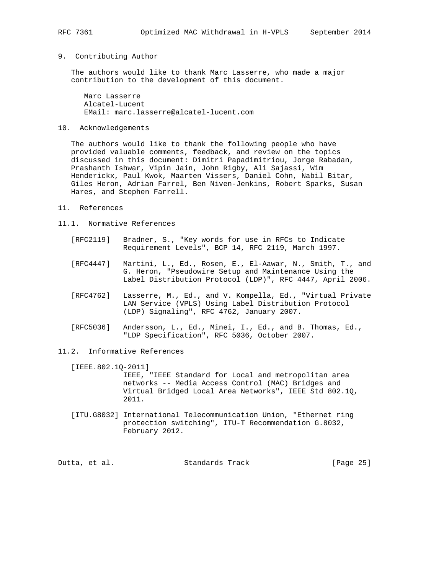## 9. Contributing Author

 The authors would like to thank Marc Lasserre, who made a major contribution to the development of this document.

 Marc Lasserre Alcatel-Lucent EMail: marc.lasserre@alcatel-lucent.com

## 10. Acknowledgements

 The authors would like to thank the following people who have provided valuable comments, feedback, and review on the topics discussed in this document: Dimitri Papadimitriou, Jorge Rabadan, Prashanth Ishwar, Vipin Jain, John Rigby, Ali Sajassi, Wim Henderickx, Paul Kwok, Maarten Vissers, Daniel Cohn, Nabil Bitar, Giles Heron, Adrian Farrel, Ben Niven-Jenkins, Robert Sparks, Susan Hares, and Stephen Farrell.

- 11. References
- 11.1. Normative References
	- [RFC2119] Bradner, S., "Key words for use in RFCs to Indicate Requirement Levels", BCP 14, RFC 2119, March 1997.
	- [RFC4447] Martini, L., Ed., Rosen, E., El-Aawar, N., Smith, T., and G. Heron, "Pseudowire Setup and Maintenance Using the Label Distribution Protocol (LDP)", RFC 4447, April 2006.
	- [RFC4762] Lasserre, M., Ed., and V. Kompella, Ed., "Virtual Private LAN Service (VPLS) Using Label Distribution Protocol (LDP) Signaling", RFC 4762, January 2007.
	- [RFC5036] Andersson, L., Ed., Minei, I., Ed., and B. Thomas, Ed., "LDP Specification", RFC 5036, October 2007.
- 11.2. Informative References

[IEEE.802.1Q-2011]

 IEEE, "IEEE Standard for Local and metropolitan area networks -- Media Access Control (MAC) Bridges and Virtual Bridged Local Area Networks", IEEE Std 802.1Q, 2011.

 [ITU.G8032] International Telecommunication Union, "Ethernet ring protection switching", ITU-T Recommendation G.8032, February 2012.

Dutta, et al. Standards Track [Page 25]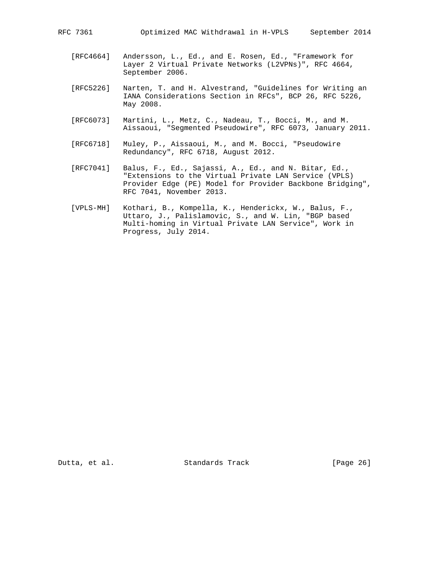- [RFC4664] Andersson, L., Ed., and E. Rosen, Ed., "Framework for Layer 2 Virtual Private Networks (L2VPNs)", RFC 4664, September 2006.
- [RFC5226] Narten, T. and H. Alvestrand, "Guidelines for Writing an IANA Considerations Section in RFCs", BCP 26, RFC 5226, May 2008.
- [RFC6073] Martini, L., Metz, C., Nadeau, T., Bocci, M., and M. Aissaoui, "Segmented Pseudowire", RFC 6073, January 2011.
- [RFC6718] Muley, P., Aissaoui, M., and M. Bocci, "Pseudowire Redundancy", RFC 6718, August 2012.
- [RFC7041] Balus, F., Ed., Sajassi, A., Ed., and N. Bitar, Ed., "Extensions to the Virtual Private LAN Service (VPLS) Provider Edge (PE) Model for Provider Backbone Bridging", RFC 7041, November 2013.
- [VPLS-MH] Kothari, B., Kompella, K., Henderickx, W., Balus, F., Uttaro, J., Palislamovic, S., and W. Lin, "BGP based Multi-homing in Virtual Private LAN Service", Work in Progress, July 2014.

Dutta, et al. Standards Track [Page 26]